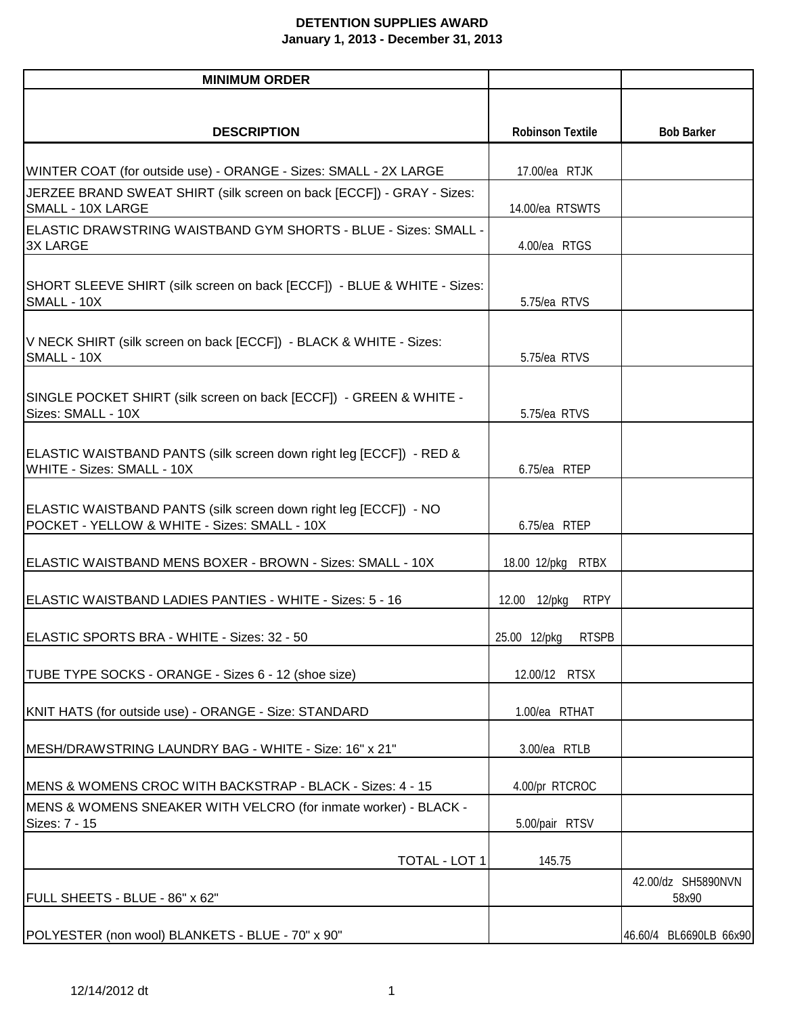## **DETENTION SUPPLIES AWARD January 1, 2013 - December 31, 2013**

| <b>MINIMUM ORDER</b>                                                                                             |                             |                             |
|------------------------------------------------------------------------------------------------------------------|-----------------------------|-----------------------------|
|                                                                                                                  |                             |                             |
| <b>DESCRIPTION</b>                                                                                               | <b>Robinson Textile</b>     | <b>Bob Barker</b>           |
| WINTER COAT (for outside use) - ORANGE - Sizes: SMALL - 2X LARGE                                                 | 17.00/ea RTJK               |                             |
| JERZEE BRAND SWEAT SHIRT (silk screen on back [ECCF]) - GRAY - Sizes:                                            |                             |                             |
| SMALL - 10X LARGE                                                                                                | 14.00/ea RTSWTS             |                             |
| <b>ELASTIC DRAWSTRING WAISTBAND GYM SHORTS - BLUE - Sizes: SMALL -</b><br><b>3X LARGE</b>                        | 4.00/ea RTGS                |                             |
| SHORT SLEEVE SHIRT (silk screen on back [ECCF]) - BLUE & WHITE - Sizes:<br>SMALL - 10X                           | 5.75/ea RTVS                |                             |
| V NECK SHIRT (silk screen on back [ECCF]) - BLACK & WHITE - Sizes:<br>SMALL - 10X                                | 5.75/ea RTVS                |                             |
| SINGLE POCKET SHIRT (silk screen on back [ECCF]) - GREEN & WHITE -<br>Sizes: SMALL - 10X                         | 5.75/ea RTVS                |                             |
| ELASTIC WAISTBAND PANTS (silk screen down right leg [ECCF]) - RED &<br>WHITE - Sizes: SMALL - 10X                | 6.75/ea RTEP                |                             |
| ELASTIC WAISTBAND PANTS (silk screen down right leg [ECCF]) - NO<br>POCKET - YELLOW & WHITE - Sizes: SMALL - 10X | 6.75/ea RTEP                |                             |
| ELASTIC WAISTBAND MENS BOXER - BROWN - Sizes: SMALL - 10X                                                        | <b>RTBX</b><br>18.00 12/pkg |                             |
| ELASTIC WAISTBAND LADIES PANTIES - WHITE - Sizes: 5 - 16                                                         | <b>RTPY</b><br>12.00 12/pkg |                             |
| ELASTIC SPORTS BRA - WHITE - Sizes: 32 - 50                                                                      | RTSPB<br>25.00 12/pkg       |                             |
| TUBE TYPE SOCKS - ORANGE - Sizes 6 - 12 (shoe size)                                                              | 12.00/12 RTSX               |                             |
| KNIT HATS (for outside use) - ORANGE - Size: STANDARD                                                            | 1.00/ea RTHAT               |                             |
| MESH/DRAWSTRING LAUNDRY BAG - WHITE - Size: 16" x 21"                                                            | 3.00/ea RTLB                |                             |
| MENS & WOMENS CROC WITH BACKSTRAP - BLACK - Sizes: 4 - 15                                                        | 4.00/pr RTCROC              |                             |
| MENS & WOMENS SNEAKER WITH VELCRO (for inmate worker) - BLACK -<br>Sizes: 7 - 15                                 | 5.00/pair RTSV              |                             |
| TOTAL - LOT 1                                                                                                    | 145.75                      |                             |
| FULL SHEETS - BLUE - 86" x 62"                                                                                   |                             | 42.00/dz SH5890NVN<br>58x90 |
| POLYESTER (non wool) BLANKETS - BLUE - 70" x 90"                                                                 |                             | 46.60/4 BL6690LB 66x90      |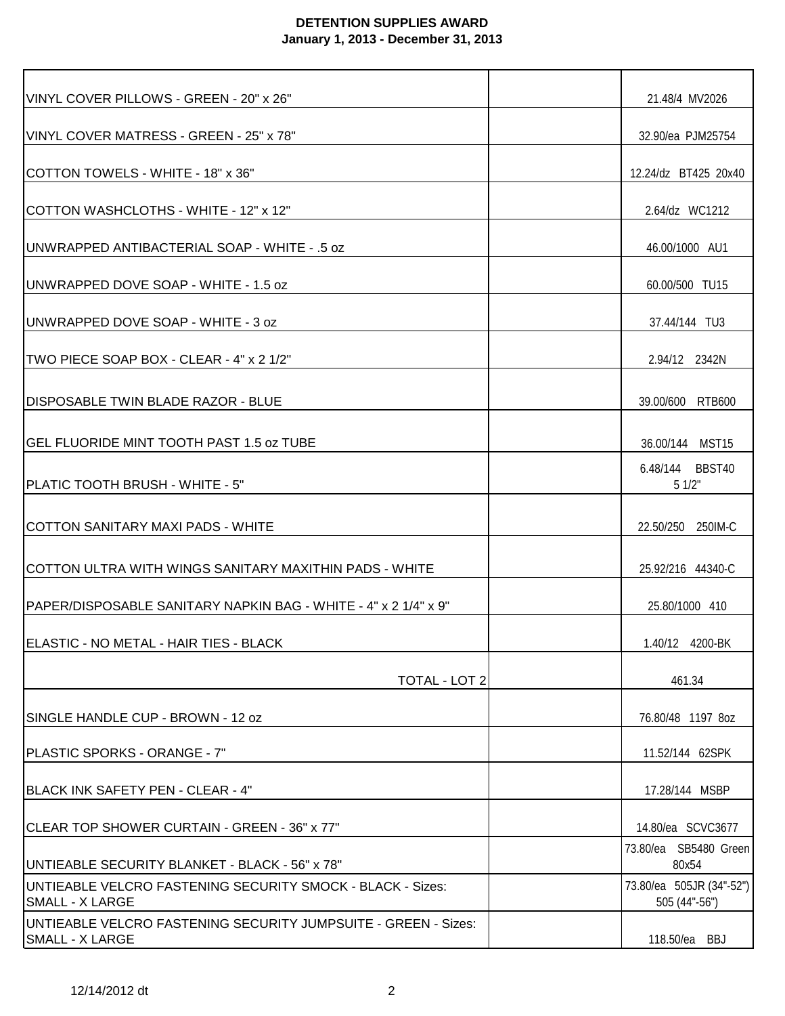## **DETENTION SUPPLIES AWARD January 1, 2013 - December 31, 2013**

| VINYL COVER PILLOWS - GREEN - 20" x 26"                                                  | 21.48/4 MV2026                            |
|------------------------------------------------------------------------------------------|-------------------------------------------|
| VINYL COVER MATRESS - GREEN - 25" x 78"                                                  | 32.90/ea PJM25754                         |
| COTTON TOWELS - WHITE - 18" x 36"                                                        | 12.24/dz BT425 20x40                      |
| COTTON WASHCLOTHS - WHITE - 12" x 12"                                                    | 2.64/dz WC1212                            |
| IUNWRAPPED ANTIBACTERIAL SOAP - WHITE - .5 oz                                            | 46.00/1000 AU1                            |
| UNWRAPPED DOVE SOAP - WHITE - 1.5 oz                                                     | 60.00/500 TU15                            |
| UNWRAPPED DOVE SOAP - WHITE - 3 oz                                                       | 37.44/144 TU3                             |
| TWO PIECE SOAP BOX - CLEAR - 4" x 2 1/2"                                                 | 2.94/12 2342N                             |
| <b>DISPOSABLE TWIN BLADE RAZOR - BLUE</b>                                                | 39.00/600 RTB600                          |
| IGEL FLUORIDE MINT TOOTH PAST 1.5 oz TUBE                                                | 36.00/144 MST15                           |
| PLATIC TOOTH BRUSH - WHITE - 5"                                                          | 6.48/144 BBST40<br>51/2"                  |
| ICOTTON SANITARY MAXI PADS - WHITE                                                       | 22.50/250 250IM-C                         |
| COTTON ULTRA WITH WINGS SANITARY MAXITHIN PADS - WHITE                                   | 25.92/216 44340-C                         |
| IPAPER/DISPOSABLE SANITARY NAPKIN BAG - WHITE - 4" x 2 1/4" x 9"                         | 25.80/1000 410                            |
| ELASTIC - NO METAL - HAIR TIES - BLACK                                                   |                                           |
| TOTAL - LOT 2                                                                            | 461.34                                    |
| SINGLE HANDLE CUP - BROWN - 12 oz                                                        | 76.80/48 1197 8oz                         |
| IPLASTIC SPORKS - ORANGE - 7"                                                            | 11.52/144 62SPK                           |
| BLACK INK SAFETY PEN - CLEAR - 4"                                                        | 17.28/144 MSBP                            |
| CLEAR TOP SHOWER CURTAIN - GREEN - 36" x 77"                                             | 14.80/ea SCVC3677                         |
| UNTIEABLE SECURITY BLANKET - BLACK - 56" x 78"                                           | 73.80/ea SB5480 Green<br>80x54            |
| UNTIEABLE VELCRO FASTENING SECURITY SMOCK - BLACK - Sizes:<br><b>SMALL - X LARGE</b>     | 73.80/ea 505JR (34"-52")<br>505 (44"-56") |
| UNTIEABLE VELCRO FASTENING SECURITY JUMPSUITE - GREEN - Sizes:<br><b>SMALL - X LARGE</b> | 118.50/ea BBJ                             |